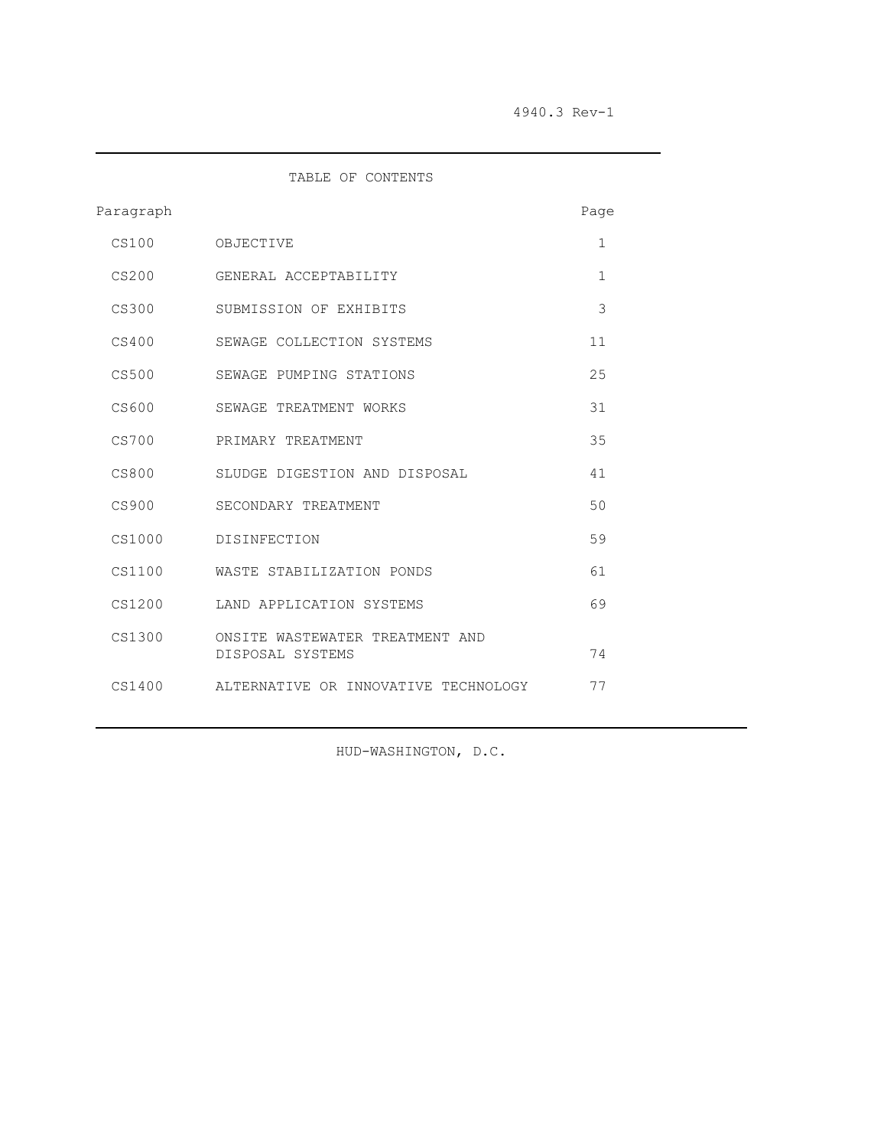TABLE OF CONTENTS

| Paragraph |                                                     | Page         |  |
|-----------|-----------------------------------------------------|--------------|--|
| CS100     | OBJECTIVE                                           | $\mathbf{1}$ |  |
| CS200     | GENERAL ACCEPTABILITY                               | $\mathbf{1}$ |  |
| CS300     | SUBMISSION OF EXHIBITS                              | 3            |  |
| CS400     | SEWAGE COLLECTION SYSTEMS                           | 11           |  |
| CS500     | SEWAGE PUMPING STATIONS                             | 25           |  |
| CS600     | SEWAGE TREATMENT WORKS                              | 31           |  |
| CS700     | PRIMARY TREATMENT                                   | 35           |  |
| CS800     | SLUDGE DIGESTION AND DISPOSAL                       | 41           |  |
| CS900     | SECONDARY TREATMENT                                 | 50           |  |
| CS1000    | DISINFECTION                                        | 59           |  |
| CS1100    | WASTE STABILIZATION PONDS                           | 61           |  |
| CS1200    | LAND APPLICATION SYSTEMS                            | 69           |  |
| CS1300    | ONSITE WASTEWATER TREATMENT AND<br>DISPOSAL SYSTEMS | 74           |  |
| CS1400    | ALTERNATIVE OR INNOVATIVE TECHNOLOGY                | 77           |  |

HUD-WASHINGTON, D.C.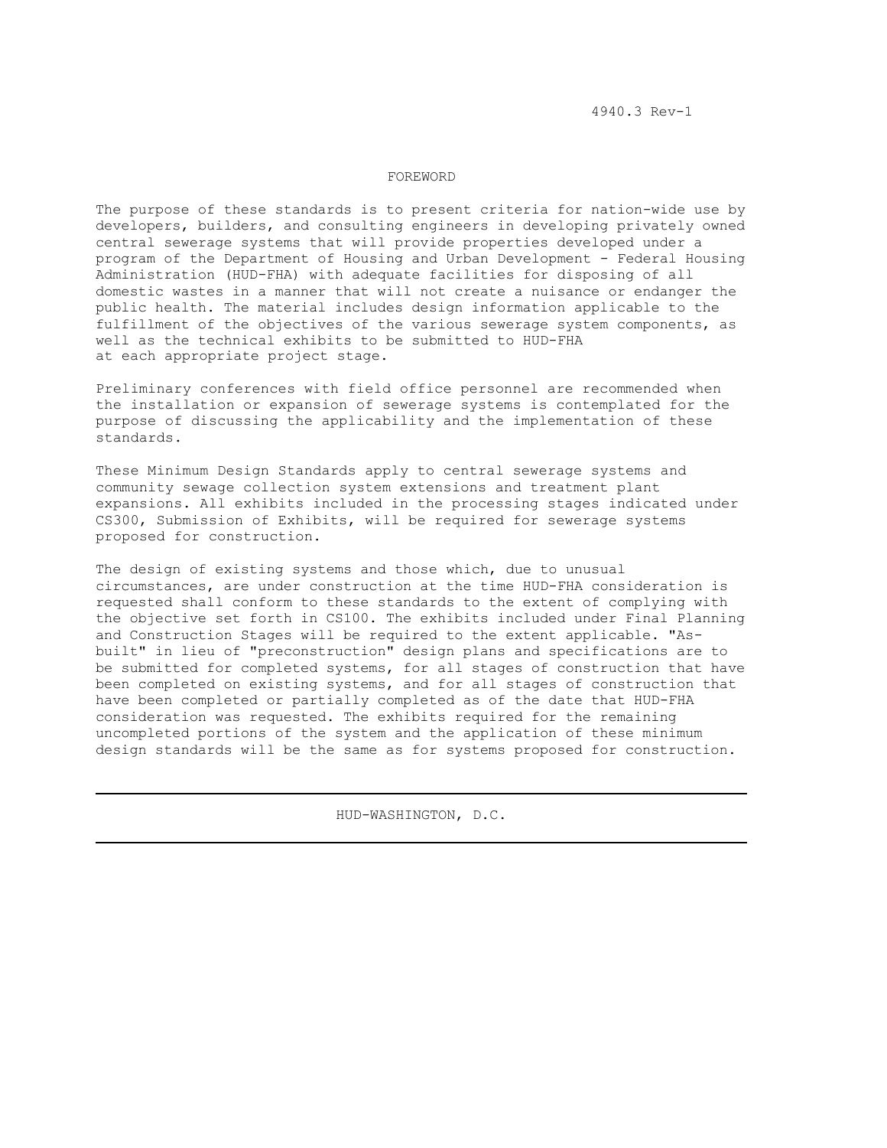## FOREWORD

The purpose of these standards is to present criteria for nation-wide use by developers, builders, and consulting engineers in developing privately owned central sewerage systems that will provide properties developed under a program of the Department of Housing and Urban Development - Federal Housing Administration (HUD-FHA) with adequate facilities for disposing of all domestic wastes in a manner that will not create a nuisance or endanger the public health. The material includes design information applicable to the fulfillment of the objectives of the various sewerage system components, as well as the technical exhibits to be submitted to HUD-FHA at each appropriate project stage.

Preliminary conferences with field office personnel are recommended when the installation or expansion of sewerage systems is contemplated for the purpose of discussing the applicability and the implementation of these standards.

These Minimum Design Standards apply to central sewerage systems and community sewage collection system extensions and treatment plant expansions. All exhibits included in the processing stages indicated under CS300, Submission of Exhibits, will be required for sewerage systems proposed for construction.

The design of existing systems and those which, due to unusual circumstances, are under construction at the time HUD-FHA consideration is requested shall conform to these standards to the extent of complying with the objective set forth in CS100. The exhibits included under Final Planning and Construction Stages will be required to the extent applicable. "Asbuilt" in lieu of "preconstruction" design plans and specifications are to be submitted for completed systems, for all stages of construction that have been completed on existing systems, and for all stages of construction that have been completed or partially completed as of the date that HUD-FHA consideration was requested. The exhibits required for the remaining uncompleted portions of the system and the application of these minimum design standards will be the same as for systems proposed for construction.

HUD-WASHINGTON, D.C.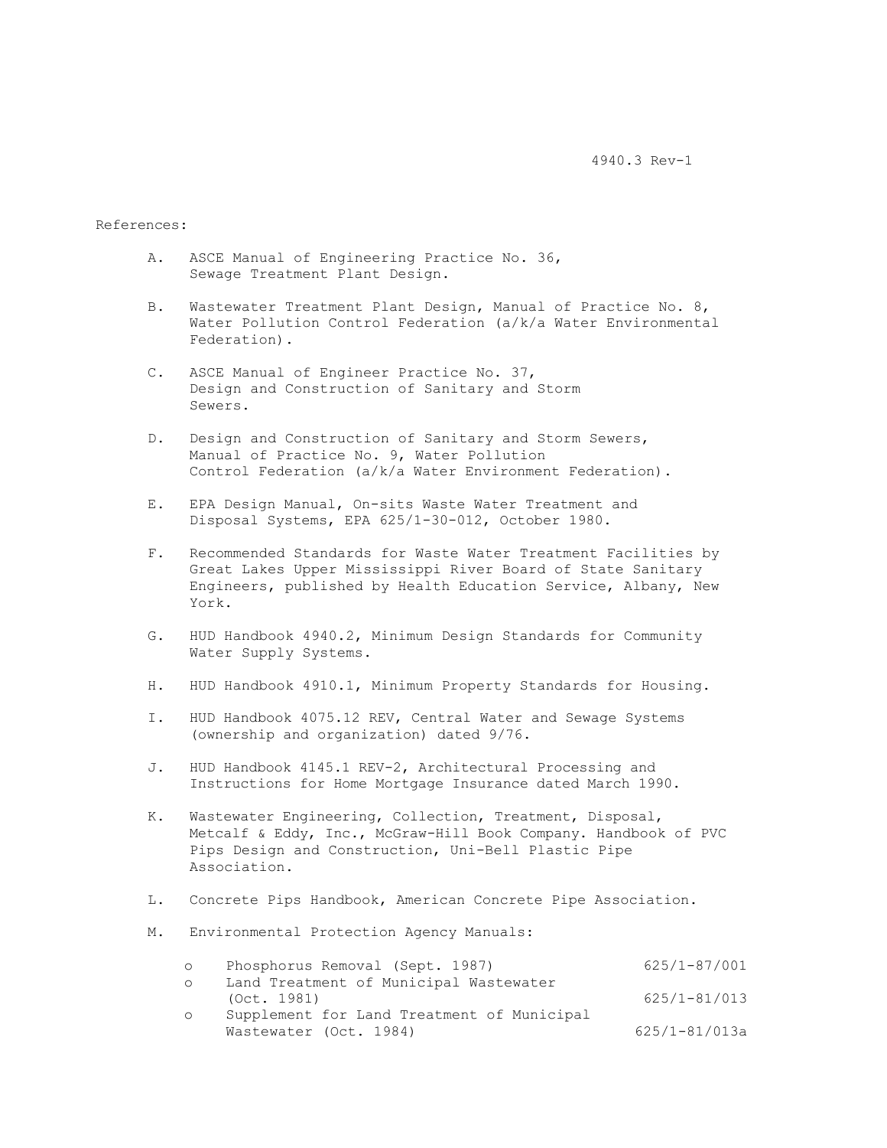4940.3 Rev-1

References:

- A. ASCE Manual of Engineering Practice No. 36, Sewage Treatment Plant Design.
- B. Wastewater Treatment Plant Design, Manual of Practice No. 8, Water Pollution Control Federation (a/k/a Water Environmental Federation).
- C. ASCE Manual of Engineer Practice No. 37, Design and Construction of Sanitary and Storm Sewers.
- D. Design and Construction of Sanitary and Storm Sewers, Manual of Practice No. 9, Water Pollution Control Federation (a/k/a Water Environment Federation).
- E. EPA Design Manual, On-sits Waste Water Treatment and Disposal Systems, EPA 625/1-30-012, October 1980.
- F. Recommended Standards for Waste Water Treatment Facilities by Great Lakes Upper Mississippi River Board of State Sanitary Engineers, published by Health Education Service, Albany, New York.
- G. HUD Handbook 4940.2, Minimum Design Standards for Community Water Supply Systems.
- H. HUD Handbook 4910.1, Minimum Property Standards for Housing.
- I. HUD Handbook 4075.12 REV, Central Water and Sewage Systems (ownership and organization) dated 9/76.
- J. HUD Handbook 4145.1 REV-2, Architectural Processing and Instructions for Home Mortgage Insurance dated March 1990.
- K. Wastewater Engineering, Collection, Treatment, Disposal, Metcalf & Eddy, Inc., McGraw-Hill Book Company. Handbook of PVC Pips Design and Construction, Uni-Bell Plastic Pipe Association.
- L. Concrete Pips Handbook, American Concrete Pipe Association.
- M. Environmental Protection Agency Manuals:

| $\circ$ | Phosphorus Removal (Sept. 1987)            | 625/1-87/001      |
|---------|--------------------------------------------|-------------------|
| O.      | Land Treatment of Municipal Wastewater     |                   |
|         | (Oct. 1981)                                | $625/1 - 81/013$  |
| O       | Supplement for Land Treatment of Municipal |                   |
|         | Wastewater (Oct. 1984)                     | $625/1 - 81/013a$ |